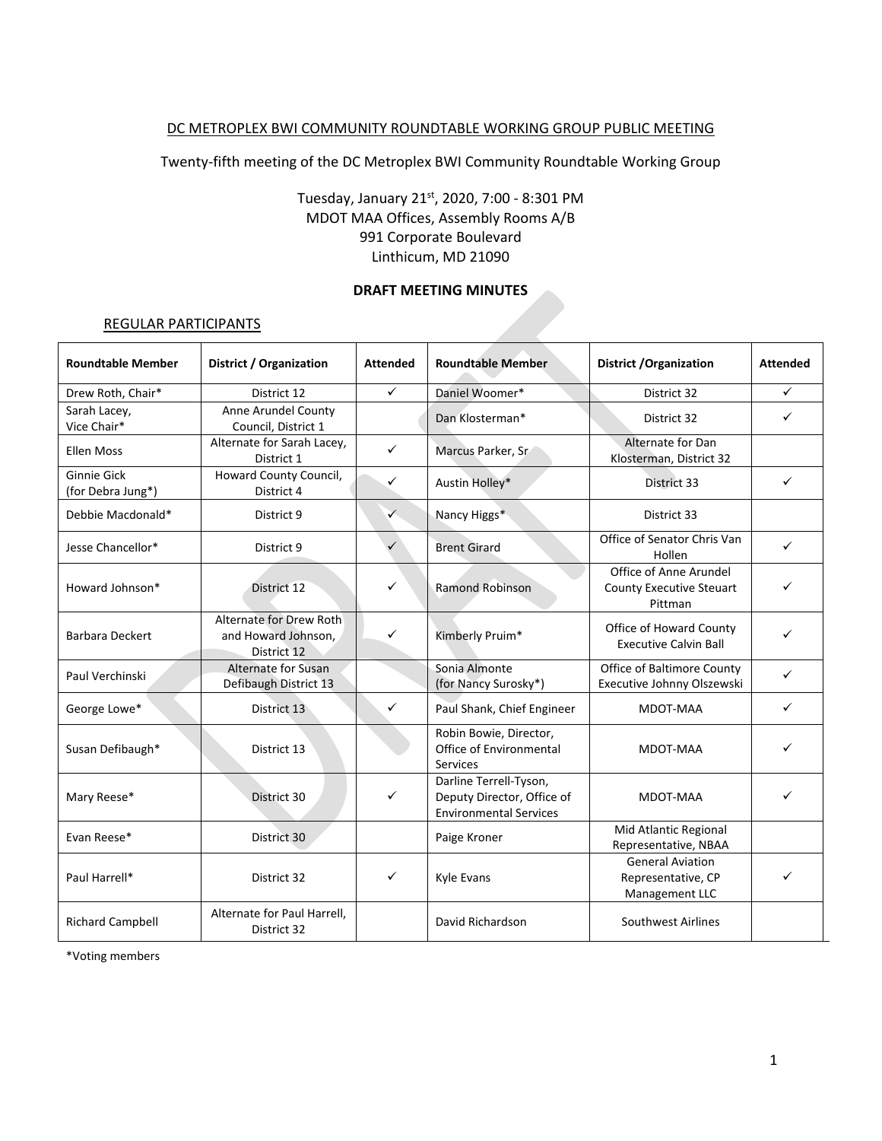### DC METROPLEX BWI COMMUNITY ROUNDTABLE WORKING GROUP PUBLIC MEETING

Twenty-fifth meeting of the DC Metroplex BWI Community Roundtable Working Group

## Tuesday, January 21st, 2020, 7:00 - 8:301 PM MDOT MAA Offices, Assembly Rooms A/B 991 Corporate Boulevard Linthicum, MD 21090

### **DRAFT MEETING MINUTES**

#### REGULAR PARTICIPANTS

| <b>Roundtable Member</b>                | District / Organization                                       | <b>Attended</b> | <b>Roundtable Member</b>                                                              | District / Organization                                         | <b>Attended</b> |
|-----------------------------------------|---------------------------------------------------------------|-----------------|---------------------------------------------------------------------------------------|-----------------------------------------------------------------|-----------------|
| Drew Roth, Chair*                       | District 12                                                   | ✓               | Daniel Woomer*                                                                        | District 32                                                     | ✓               |
| Sarah Lacey,<br>Vice Chair*             | Anne Arundel County<br>Council, District 1                    |                 | Dan Klosterman*                                                                       | District 32                                                     | ✓               |
| <b>Ellen Moss</b>                       | Alternate for Sarah Lacey,<br>District 1                      | ✓               | Marcus Parker, Sr                                                                     | Alternate for Dan<br>Klosterman, District 32                    |                 |
| <b>Ginnie Gick</b><br>(for Debra Jung*) | Howard County Council,<br>District 4                          | ✓               | Austin Holley*                                                                        | District 33                                                     | ✓               |
| Debbie Macdonald*                       | District 9                                                    | ✓               | Nancy Higgs*                                                                          | District 33                                                     |                 |
| Jesse Chancellor*                       | District 9                                                    |                 | <b>Brent Girard</b>                                                                   | Office of Senator Chris Van<br>Hollen                           | ✓               |
| Howard Johnson*                         | District 12                                                   | ✓               | <b>Ramond Robinson</b>                                                                | Office of Anne Arundel<br>County Executive Steuart<br>Pittman   | ✓               |
| <b>Barbara Deckert</b>                  | Alternate for Drew Roth<br>and Howard Johnson,<br>District 12 | ✓               | Kimberly Pruim*                                                                       | Office of Howard County<br><b>Executive Calvin Ball</b>         | ✓               |
| Paul Verchinski                         | <b>Alternate for Susan</b><br>Defibaugh District 13           |                 | Sonia Almonte<br>(for Nancy Surosky*)                                                 | Office of Baltimore County<br>Executive Johnny Olszewski        | ✓               |
| George Lowe*                            | District 13                                                   | ✓               | Paul Shank, Chief Engineer                                                            | MDOT-MAA                                                        | ✓               |
| Susan Defibaugh*                        | District 13                                                   |                 | Robin Bowie, Director,<br>Office of Environmental<br>Services                         | MDOT-MAA                                                        | ✓               |
| Mary Reese*                             | District 30                                                   | ✓               | Darline Terrell-Tyson,<br>Deputy Director, Office of<br><b>Environmental Services</b> | MDOT-MAA                                                        | ✓               |
| Evan Reese*                             | District 30                                                   |                 | Paige Kroner                                                                          | Mid Atlantic Regional<br>Representative, NBAA                   |                 |
| Paul Harrell*                           | District 32                                                   | ✓               | Kyle Evans                                                                            | <b>General Aviation</b><br>Representative, CP<br>Management LLC |                 |
| <b>Richard Campbell</b>                 | Alternate for Paul Harrell,<br>District 32                    |                 | David Richardson                                                                      | Southwest Airlines                                              |                 |

\*Voting members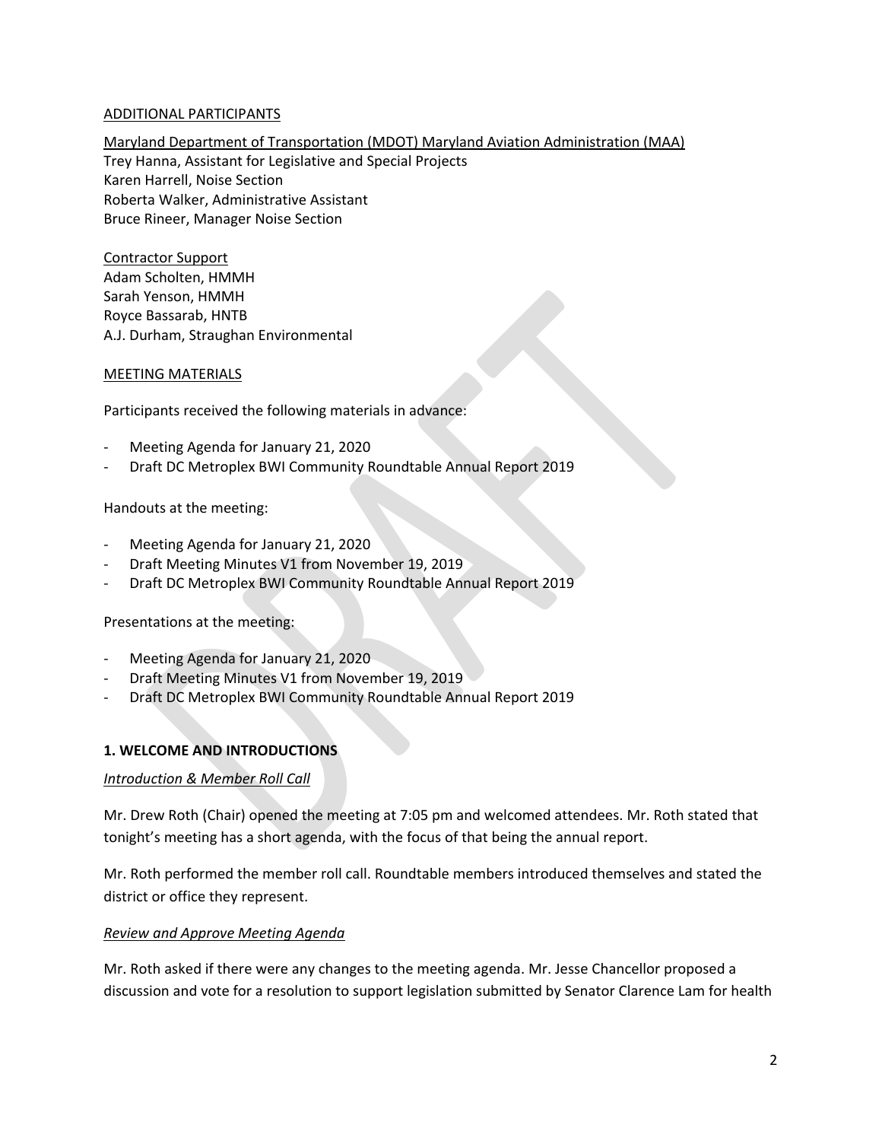### ADDITIONAL PARTICIPANTS

Maryland Department of Transportation (MDOT) Maryland Aviation Administration (MAA) Trey Hanna, Assistant for Legislative and Special Projects Karen Harrell, Noise Section Roberta Walker, Administrative Assistant Bruce Rineer, Manager Noise Section

Contractor Support Adam Scholten, HMMH Sarah Yenson, HMMH Royce Bassarab, HNTB A.J. Durham, Straughan Environmental

#### MEETING MATERIALS

Participants received the following materials in advance:

- Meeting Agenda for January 21, 2020
- Draft DC Metroplex BWI Community Roundtable Annual Report 2019

Handouts at the meeting:

- Meeting Agenda for January 21, 2020
- Draft Meeting Minutes V1 from November 19, 2019
- Draft DC Metroplex BWI Community Roundtable Annual Report 2019

Presentations at the meeting:

- Meeting Agenda for January 21, 2020
- Draft Meeting Minutes V1 from November 19, 2019
- Draft DC Metroplex BWI Community Roundtable Annual Report 2019

### **1. WELCOME AND INTRODUCTIONS**

### *Introduction & Member Roll Call*

Mr. Drew Roth (Chair) opened the meeting at 7:05 pm and welcomed attendees. Mr. Roth stated that tonight's meeting has a short agenda, with the focus of that being the annual report.

Mr. Roth performed the member roll call. Roundtable members introduced themselves and stated the district or office they represent.

### *Review and Approve Meeting Agenda*

Mr. Roth asked if there were any changes to the meeting agenda. Mr. Jesse Chancellor proposed a discussion and vote for a resolution to support legislation submitted by Senator Clarence Lam for health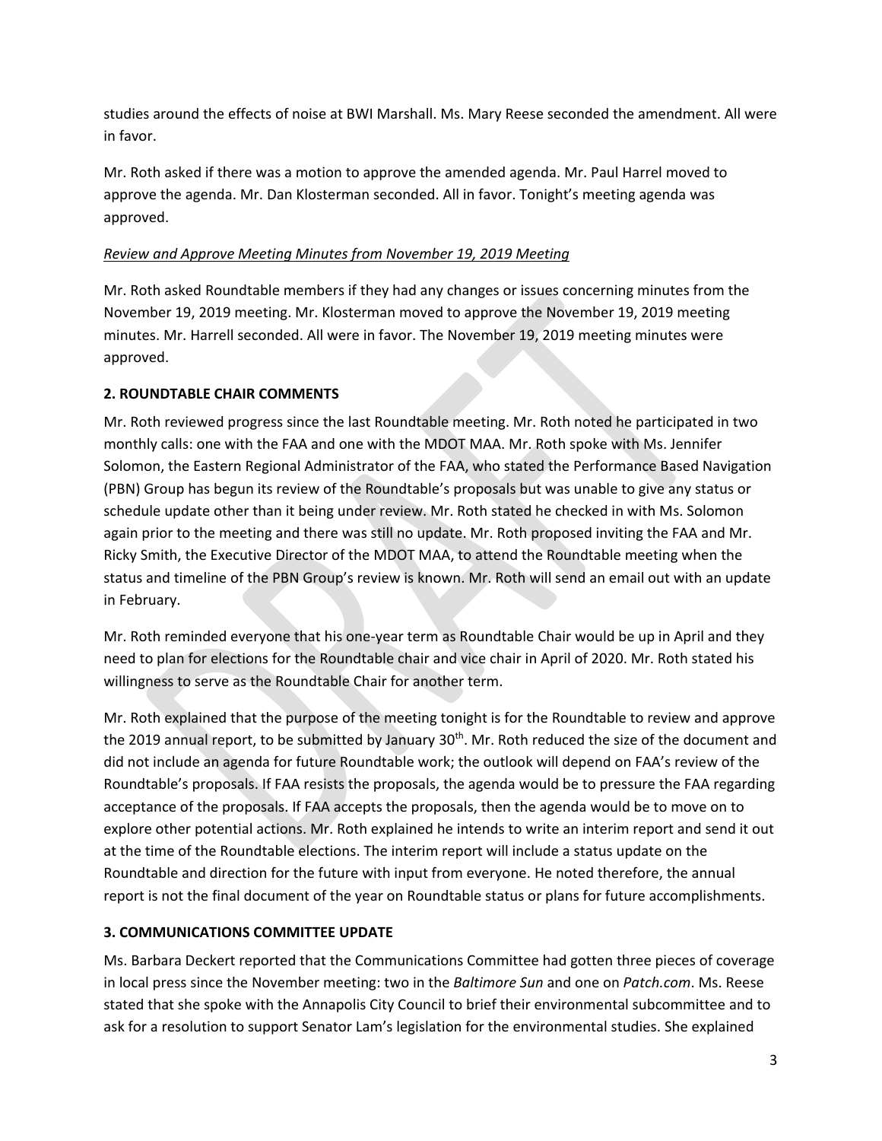studies around the effects of noise at BWI Marshall. Ms. Mary Reese seconded the amendment. All were in favor.

Mr. Roth asked if there was a motion to approve the amended agenda. Mr. Paul Harrel moved to approve the agenda. Mr. Dan Klosterman seconded. All in favor. Tonight's meeting agenda was approved.

### *Review and Approve Meeting Minutes from November 19, 2019 Meeting*

Mr. Roth asked Roundtable members if they had any changes or issues concerning minutes from the November 19, 2019 meeting. Mr. Klosterman moved to approve the November 19, 2019 meeting minutes. Mr. Harrell seconded. All were in favor. The November 19, 2019 meeting minutes were approved.

## **2. ROUNDTABLE CHAIR COMMENTS**

Mr. Roth reviewed progress since the last Roundtable meeting. Mr. Roth noted he participated in two monthly calls: one with the FAA and one with the MDOT MAA. Mr. Roth spoke with Ms. Jennifer Solomon, the Eastern Regional Administrator of the FAA, who stated the Performance Based Navigation (PBN) Group has begun its review of the Roundtable's proposals but was unable to give any status or schedule update other than it being under review. Mr. Roth stated he checked in with Ms. Solomon again prior to the meeting and there was still no update. Mr. Roth proposed inviting the FAA and Mr. Ricky Smith, the Executive Director of the MDOT MAA, to attend the Roundtable meeting when the status and timeline of the PBN Group's review is known. Mr. Roth will send an email out with an update in February.

Mr. Roth reminded everyone that his one-year term as Roundtable Chair would be up in April and they need to plan for elections for the Roundtable chair and vice chair in April of 2020. Mr. Roth stated his willingness to serve as the Roundtable Chair for another term.

Mr. Roth explained that the purpose of the meeting tonight is for the Roundtable to review and approve the 2019 annual report, to be submitted by January 30<sup>th</sup>. Mr. Roth reduced the size of the document and did not include an agenda for future Roundtable work; the outlook will depend on FAA's review of the Roundtable's proposals. If FAA resists the proposals, the agenda would be to pressure the FAA regarding acceptance of the proposals. If FAA accepts the proposals, then the agenda would be to move on to explore other potential actions. Mr. Roth explained he intends to write an interim report and send it out at the time of the Roundtable elections. The interim report will include a status update on the Roundtable and direction for the future with input from everyone. He noted therefore, the annual report is not the final document of the year on Roundtable status or plans for future accomplishments.

## **3. COMMUNICATIONS COMMITTEE UPDATE**

Ms. Barbara Deckert reported that the Communications Committee had gotten three pieces of coverage in local press since the November meeting: two in the *Baltimore Sun* and one on *Patch.com*. Ms. Reese stated that she spoke with the Annapolis City Council to brief their environmental subcommittee and to ask for a resolution to support Senator Lam's legislation for the environmental studies. She explained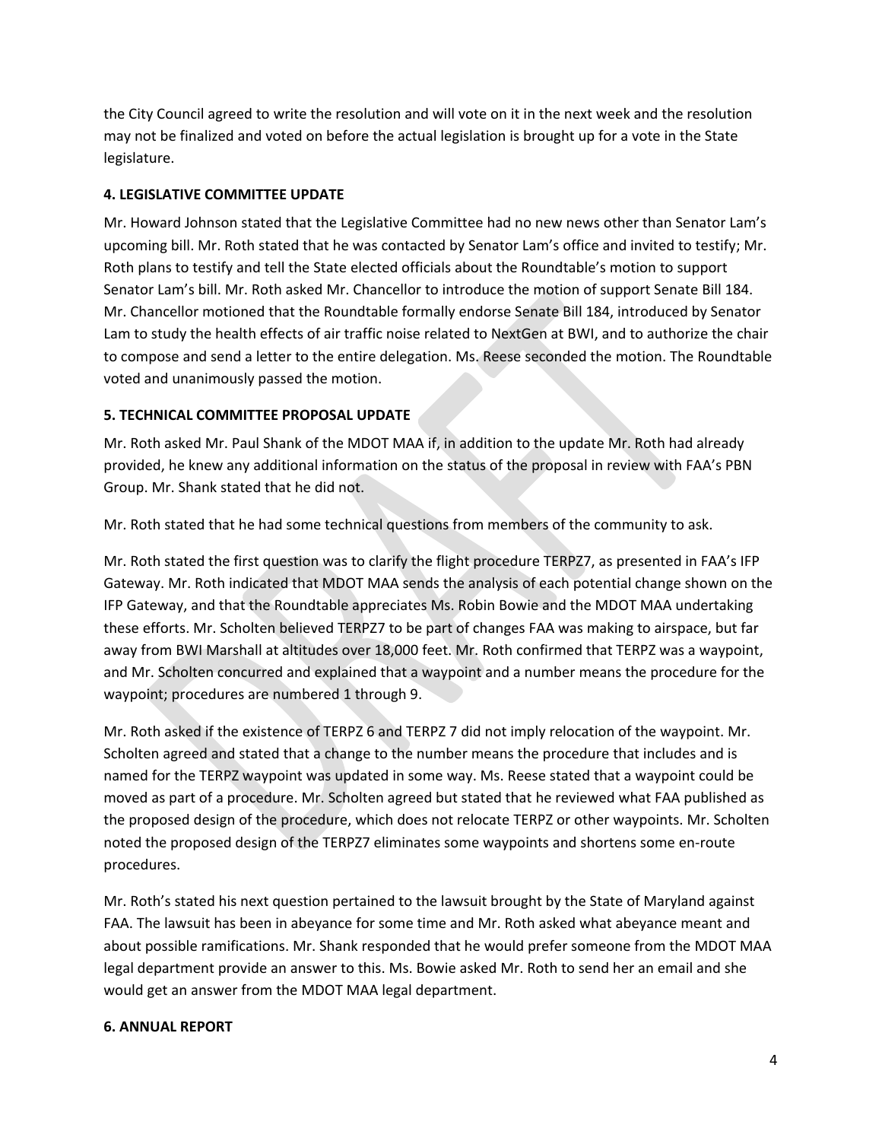the City Council agreed to write the resolution and will vote on it in the next week and the resolution may not be finalized and voted on before the actual legislation is brought up for a vote in the State legislature.

### **4. LEGISLATIVE COMMITTEE UPDATE**

Mr. Howard Johnson stated that the Legislative Committee had no new news other than Senator Lam's upcoming bill. Mr. Roth stated that he was contacted by Senator Lam's office and invited to testify; Mr. Roth plans to testify and tell the State elected officials about the Roundtable's motion to support Senator Lam's bill. Mr. Roth asked Mr. Chancellor to introduce the motion of support Senate Bill 184. Mr. Chancellor motioned that the Roundtable formally endorse Senate Bill 184, introduced by Senator Lam to study the health effects of air traffic noise related to NextGen at BWI, and to authorize the chair to compose and send a letter to the entire delegation. Ms. Reese seconded the motion. The Roundtable voted and unanimously passed the motion.

### **5. TECHNICAL COMMITTEE PROPOSAL UPDATE**

Mr. Roth asked Mr. Paul Shank of the MDOT MAA if, in addition to the update Mr. Roth had already provided, he knew any additional information on the status of the proposal in review with FAA's PBN Group. Mr. Shank stated that he did not.

Mr. Roth stated that he had some technical questions from members of the community to ask.

Mr. Roth stated the first question was to clarify the flight procedure TERPZ7, as presented in FAA's IFP Gateway. Mr. Roth indicated that MDOT MAA sends the analysis of each potential change shown on the IFP Gateway, and that the Roundtable appreciates Ms. Robin Bowie and the MDOT MAA undertaking these efforts. Mr. Scholten believed TERPZ7 to be part of changes FAA was making to airspace, but far away from BWI Marshall at altitudes over 18,000 feet. Mr. Roth confirmed that TERPZ was a waypoint, and Mr. Scholten concurred and explained that a waypoint and a number means the procedure for the waypoint; procedures are numbered 1 through 9.

Mr. Roth asked if the existence of TERPZ 6 and TERPZ 7 did not imply relocation of the waypoint. Mr. Scholten agreed and stated that a change to the number means the procedure that includes and is named for the TERPZ waypoint was updated in some way. Ms. Reese stated that a waypoint could be moved as part of a procedure. Mr. Scholten agreed but stated that he reviewed what FAA published as the proposed design of the procedure, which does not relocate TERPZ or other waypoints. Mr. Scholten noted the proposed design of the TERPZ7 eliminates some waypoints and shortens some en-route procedures.

Mr. Roth's stated his next question pertained to the lawsuit brought by the State of Maryland against FAA. The lawsuit has been in abeyance for some time and Mr. Roth asked what abeyance meant and about possible ramifications. Mr. Shank responded that he would prefer someone from the MDOT MAA legal department provide an answer to this. Ms. Bowie asked Mr. Roth to send her an email and she would get an answer from the MDOT MAA legal department.

### **6. ANNUAL REPORT**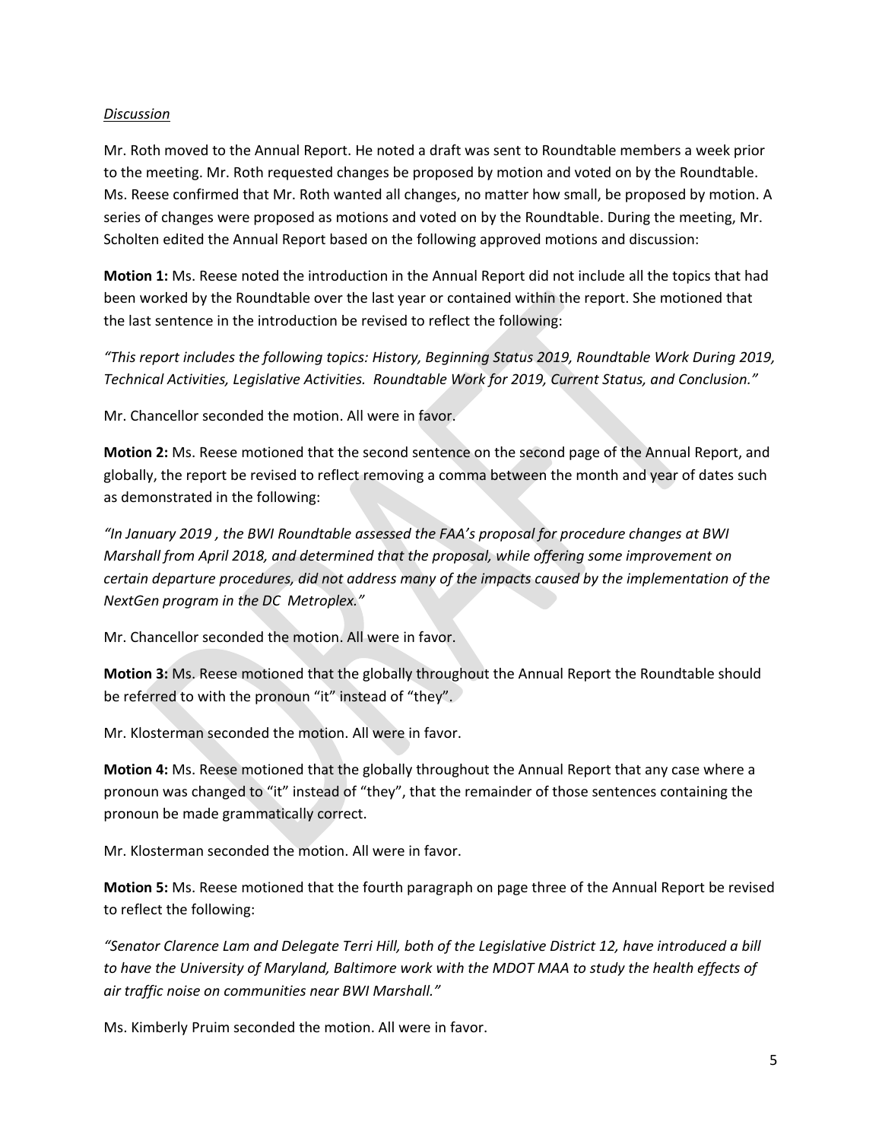#### *Discussion*

Mr. Roth moved to the Annual Report. He noted a draft was sent to Roundtable members a week prior to the meeting. Mr. Roth requested changes be proposed by motion and voted on by the Roundtable. Ms. Reese confirmed that Mr. Roth wanted all changes, no matter how small, be proposed by motion. A series of changes were proposed as motions and voted on by the Roundtable. During the meeting, Mr. Scholten edited the Annual Report based on the following approved motions and discussion:

**Motion 1:** Ms. Reese noted the introduction in the Annual Report did not include all the topics that had been worked by the Roundtable over the last year or contained within the report. She motioned that the last sentence in the introduction be revised to reflect the following:

*"This report includes the following topics: History, Beginning Status 2019, Roundtable Work During 2019, Technical Activities, Legislative Activities. Roundtable Work for 2019, Current Status, and Conclusion."*

Mr. Chancellor seconded the motion. All were in favor.

**Motion 2:** Ms. Reese motioned that the second sentence on the second page of the Annual Report, and globally, the report be revised to reflect removing a comma between the month and year of dates such as demonstrated in the following:

*"In January 2019 , the BWI Roundtable assessed the FAA's proposal for procedure changes at BWI Marshall from April 2018, and determined that the proposal, while offering some improvement on certain departure procedures, did not address many of the impacts caused by the implementation of the NextGen program in the DC Metroplex."*

Mr. Chancellor seconded the motion. All were in favor.

**Motion 3:** Ms. Reese motioned that the globally throughout the Annual Report the Roundtable should be referred to with the pronoun "it" instead of "they".

Mr. Klosterman seconded the motion. All were in favor.

**Motion 4:** Ms. Reese motioned that the globally throughout the Annual Report that any case where a pronoun was changed to "it" instead of "they", that the remainder of those sentences containing the pronoun be made grammatically correct.

Mr. Klosterman seconded the motion. All were in favor.

**Motion 5:** Ms. Reese motioned that the fourth paragraph on page three of the Annual Report be revised to reflect the following:

*"Senator Clarence Lam and Delegate Terri Hill, both of the Legislative District 12, have introduced a bill to have the University of Maryland, Baltimore work with the MDOT MAA to study the health effects of air traffic noise on communities near BWI Marshall."*

Ms. Kimberly Pruim seconded the motion. All were in favor.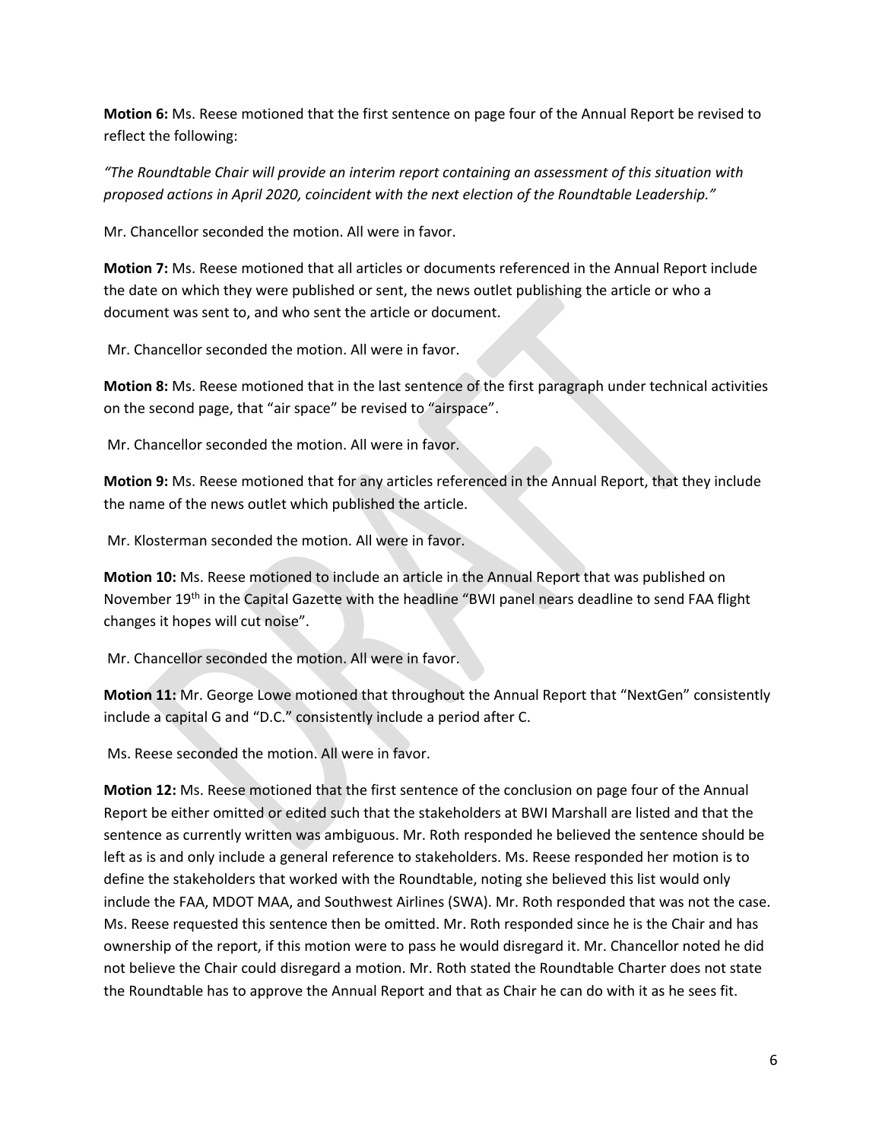**Motion 6:** Ms. Reese motioned that the first sentence on page four of the Annual Report be revised to reflect the following:

*"The Roundtable Chair will provide an interim report containing an assessment of this situation with proposed actions in April 2020, coincident with the next election of the Roundtable Leadership."*

Mr. Chancellor seconded the motion. All were in favor.

**Motion 7:** Ms. Reese motioned that all articles or documents referenced in the Annual Report include the date on which they were published or sent, the news outlet publishing the article or who a document was sent to, and who sent the article or document.

Mr. Chancellor seconded the motion. All were in favor.

**Motion 8:** Ms. Reese motioned that in the last sentence of the first paragraph under technical activities on the second page, that "air space" be revised to "airspace".

Mr. Chancellor seconded the motion. All were in favor.

**Motion 9:** Ms. Reese motioned that for any articles referenced in the Annual Report, that they include the name of the news outlet which published the article.

Mr. Klosterman seconded the motion. All were in favor.

**Motion 10:** Ms. Reese motioned to include an article in the Annual Report that was published on November 19<sup>th</sup> in the Capital Gazette with the headline "BWI panel nears deadline to send FAA flight changes it hopes will cut noise".

Mr. Chancellor seconded the motion. All were in favor.

**Motion 11:** Mr. George Lowe motioned that throughout the Annual Report that "NextGen" consistently include a capital G and "D.C." consistently include a period after C.

Ms. Reese seconded the motion. All were in favor.

**Motion 12:** Ms. Reese motioned that the first sentence of the conclusion on page four of the Annual Report be either omitted or edited such that the stakeholders at BWI Marshall are listed and that the sentence as currently written was ambiguous. Mr. Roth responded he believed the sentence should be left as is and only include a general reference to stakeholders. Ms. Reese responded her motion is to define the stakeholders that worked with the Roundtable, noting she believed this list would only include the FAA, MDOT MAA, and Southwest Airlines (SWA). Mr. Roth responded that was not the case. Ms. Reese requested this sentence then be omitted. Mr. Roth responded since he is the Chair and has ownership of the report, if this motion were to pass he would disregard it. Mr. Chancellor noted he did not believe the Chair could disregard a motion. Mr. Roth stated the Roundtable Charter does not state the Roundtable has to approve the Annual Report and that as Chair he can do with it as he sees fit.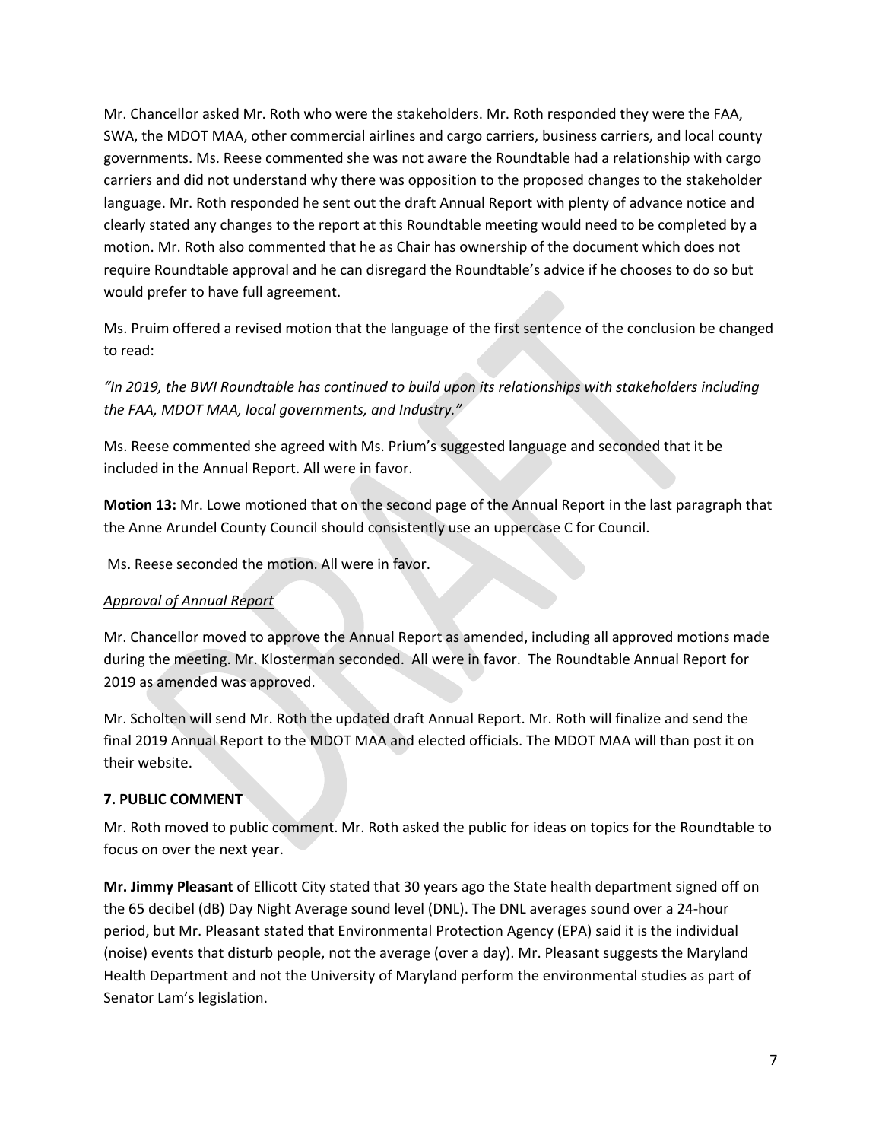Mr. Chancellor asked Mr. Roth who were the stakeholders. Mr. Roth responded they were the FAA, SWA, the MDOT MAA, other commercial airlines and cargo carriers, business carriers, and local county governments. Ms. Reese commented she was not aware the Roundtable had a relationship with cargo carriers and did not understand why there was opposition to the proposed changes to the stakeholder language. Mr. Roth responded he sent out the draft Annual Report with plenty of advance notice and clearly stated any changes to the report at this Roundtable meeting would need to be completed by a motion. Mr. Roth also commented that he as Chair has ownership of the document which does not require Roundtable approval and he can disregard the Roundtable's advice if he chooses to do so but would prefer to have full agreement.

Ms. Pruim offered a revised motion that the language of the first sentence of the conclusion be changed to read:

*"In 2019, the BWI Roundtable has continued to build upon its relationships with stakeholders including the FAA, MDOT MAA, local governments, and Industry."*

Ms. Reese commented she agreed with Ms. Prium's suggested language and seconded that it be included in the Annual Report. All were in favor.

**Motion 13:** Mr. Lowe motioned that on the second page of the Annual Report in the last paragraph that the Anne Arundel County Council should consistently use an uppercase C for Council.

Ms. Reese seconded the motion. All were in favor.

## *Approval of Annual Report*

Mr. Chancellor moved to approve the Annual Report as amended, including all approved motions made during the meeting. Mr. Klosterman seconded. All were in favor. The Roundtable Annual Report for 2019 as amended was approved.

Mr. Scholten will send Mr. Roth the updated draft Annual Report. Mr. Roth will finalize and send the final 2019 Annual Report to the MDOT MAA and elected officials. The MDOT MAA will than post it on their website.

# **7. PUBLIC COMMENT**

Mr. Roth moved to public comment. Mr. Roth asked the public for ideas on topics for the Roundtable to focus on over the next year.

**Mr. Jimmy Pleasant** of Ellicott City stated that 30 years ago the State health department signed off on the 65 decibel (dB) Day Night Average sound level (DNL). The DNL averages sound over a 24-hour period, but Mr. Pleasant stated that Environmental Protection Agency (EPA) said it is the individual (noise) events that disturb people, not the average (over a day). Mr. Pleasant suggests the Maryland Health Department and not the University of Maryland perform the environmental studies as part of Senator Lam's legislation.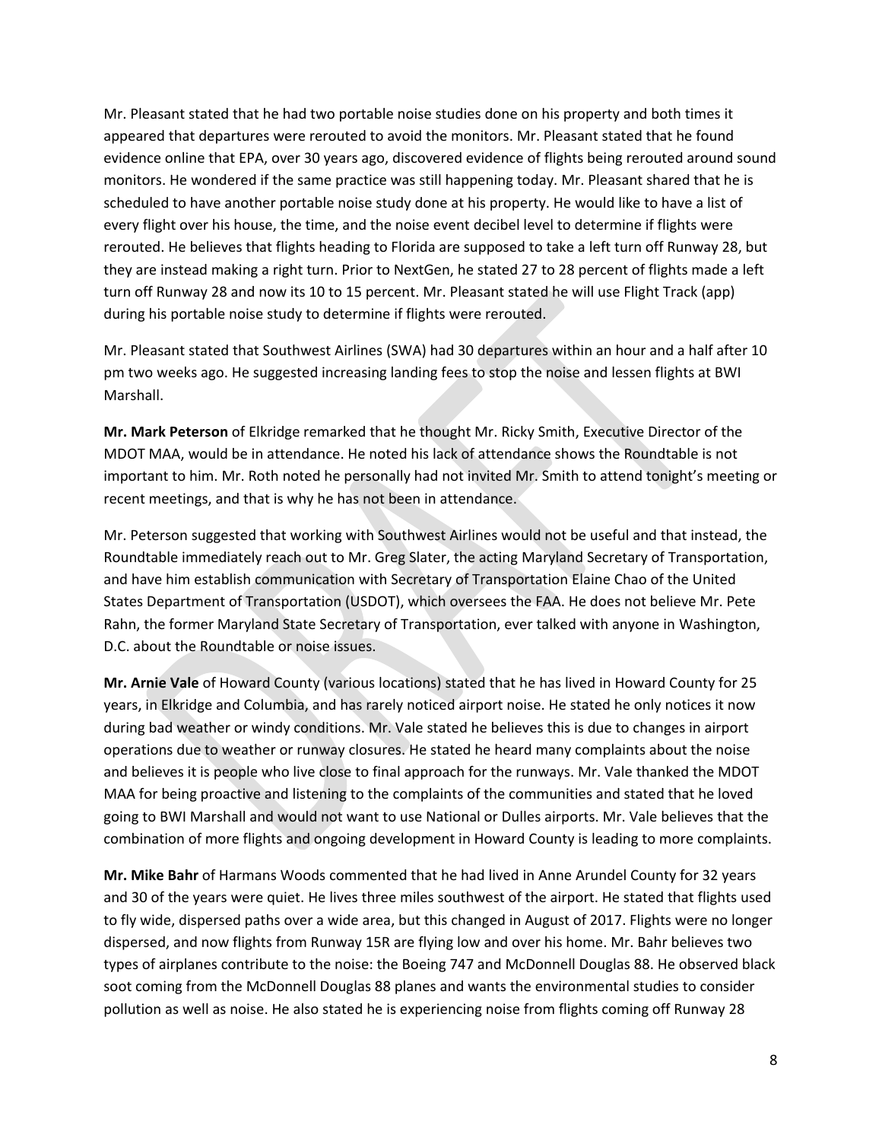Mr. Pleasant stated that he had two portable noise studies done on his property and both times it appeared that departures were rerouted to avoid the monitors. Mr. Pleasant stated that he found evidence online that EPA, over 30 years ago, discovered evidence of flights being rerouted around sound monitors. He wondered if the same practice was still happening today. Mr. Pleasant shared that he is scheduled to have another portable noise study done at his property. He would like to have a list of every flight over his house, the time, and the noise event decibel level to determine if flights were rerouted. He believes that flights heading to Florida are supposed to take a left turn off Runway 28, but they are instead making a right turn. Prior to NextGen, he stated 27 to 28 percent of flights made a left turn off Runway 28 and now its 10 to 15 percent. Mr. Pleasant stated he will use Flight Track (app) during his portable noise study to determine if flights were rerouted.

Mr. Pleasant stated that Southwest Airlines (SWA) had 30 departures within an hour and a half after 10 pm two weeks ago. He suggested increasing landing fees to stop the noise and lessen flights at BWI Marshall.

**Mr. Mark Peterson** of Elkridge remarked that he thought Mr. Ricky Smith, Executive Director of the MDOT MAA, would be in attendance. He noted his lack of attendance shows the Roundtable is not important to him. Mr. Roth noted he personally had not invited Mr. Smith to attend tonight's meeting or recent meetings, and that is why he has not been in attendance.

Mr. Peterson suggested that working with Southwest Airlines would not be useful and that instead, the Roundtable immediately reach out to Mr. Greg Slater, the acting Maryland Secretary of Transportation, and have him establish communication with Secretary of Transportation Elaine Chao of the United States Department of Transportation (USDOT), which oversees the FAA. He does not believe Mr. Pete Rahn, the former Maryland State Secretary of Transportation, ever talked with anyone in Washington, D.C. about the Roundtable or noise issues.

**Mr. Arnie Vale** of Howard County (various locations) stated that he has lived in Howard County for 25 years, in Elkridge and Columbia, and has rarely noticed airport noise. He stated he only notices it now during bad weather or windy conditions. Mr. Vale stated he believes this is due to changes in airport operations due to weather or runway closures. He stated he heard many complaints about the noise and believes it is people who live close to final approach for the runways. Mr. Vale thanked the MDOT MAA for being proactive and listening to the complaints of the communities and stated that he loved going to BWI Marshall and would not want to use National or Dulles airports. Mr. Vale believes that the combination of more flights and ongoing development in Howard County is leading to more complaints.

**Mr. Mike Bahr** of Harmans Woods commented that he had lived in Anne Arundel County for 32 years and 30 of the years were quiet. He lives three miles southwest of the airport. He stated that flights used to fly wide, dispersed paths over a wide area, but this changed in August of 2017. Flights were no longer dispersed, and now flights from Runway 15R are flying low and over his home. Mr. Bahr believes two types of airplanes contribute to the noise: the Boeing 747 and McDonnell Douglas 88. He observed black soot coming from the McDonnell Douglas 88 planes and wants the environmental studies to consider pollution as well as noise. He also stated he is experiencing noise from flights coming off Runway 28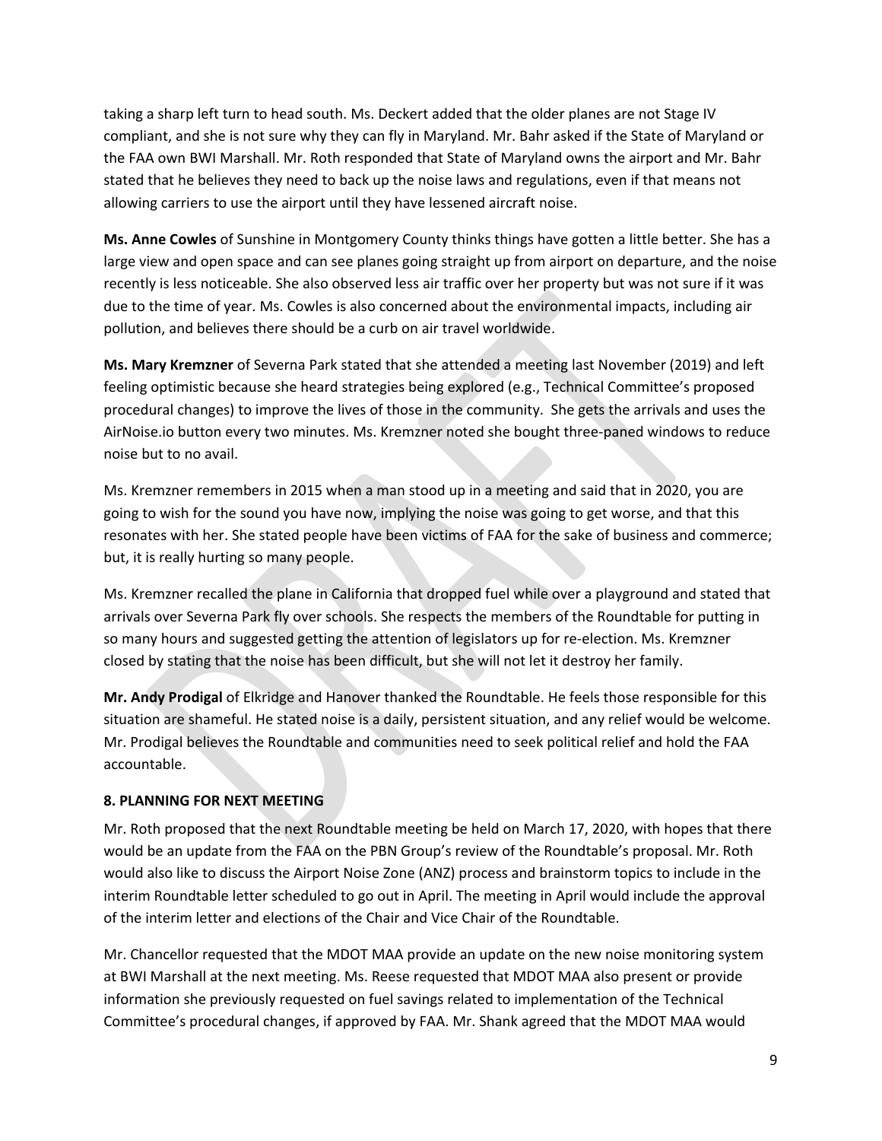taking a sharp left turn to head south. Ms. Deckert added that the older planes are not Stage IV compliant, and she is not sure why they can fly in Maryland. Mr. Bahr asked if the State of Maryland or the FAA own BWI Marshall. Mr. Roth responded that State of Maryland owns the airport and Mr. Bahr stated that he believes they need to back up the noise laws and regulations, even if that means not allowing carriers to use the airport until they have lessened aircraft noise.

**Ms. Anne Cowles** of Sunshine in Montgomery County thinks things have gotten a little better. She has a large view and open space and can see planes going straight up from airport on departure, and the noise recently is less noticeable. She also observed less air traffic over her property but was not sure if it was due to the time of year. Ms. Cowles is also concerned about the environmental impacts, including air pollution, and believes there should be a curb on air travel worldwide.

**Ms. Mary Kremzner** of Severna Park stated that she attended a meeting last November (2019) and left feeling optimistic because she heard strategies being explored (e.g., Technical Committee's proposed procedural changes) to improve the lives of those in the community. She gets the arrivals and uses the AirNoise.io button every two minutes. Ms. Kremzner noted she bought three-paned windows to reduce noise but to no avail.

Ms. Kremzner remembers in 2015 when a man stood up in a meeting and said that in 2020, you are going to wish for the sound you have now, implying the noise was going to get worse, and that this resonates with her. She stated people have been victims of FAA for the sake of business and commerce; but, it is really hurting so many people.

Ms. Kremzner recalled the plane in California that dropped fuel while over a playground and stated that arrivals over Severna Park fly over schools. She respects the members of the Roundtable for putting in so many hours and suggested getting the attention of legislators up for re-election. Ms. Kremzner closed by stating that the noise has been difficult, but she will not let it destroy her family.

**Mr. Andy Prodigal** of Elkridge and Hanover thanked the Roundtable. He feels those responsible for this situation are shameful. He stated noise is a daily, persistent situation, and any relief would be welcome. Mr. Prodigal believes the Roundtable and communities need to seek political relief and hold the FAA accountable.

## **8. PLANNING FOR NEXT MEETING**

Mr. Roth proposed that the next Roundtable meeting be held on March 17, 2020, with hopes that there would be an update from the FAA on the PBN Group's review of the Roundtable's proposal. Mr. Roth would also like to discuss the Airport Noise Zone (ANZ) process and brainstorm topics to include in the interim Roundtable letter scheduled to go out in April. The meeting in April would include the approval of the interim letter and elections of the Chair and Vice Chair of the Roundtable.

Mr. Chancellor requested that the MDOT MAA provide an update on the new noise monitoring system at BWI Marshall at the next meeting. Ms. Reese requested that MDOT MAA also present or provide information she previously requested on fuel savings related to implementation of the Technical Committee's procedural changes, if approved by FAA. Mr. Shank agreed that the MDOT MAA would